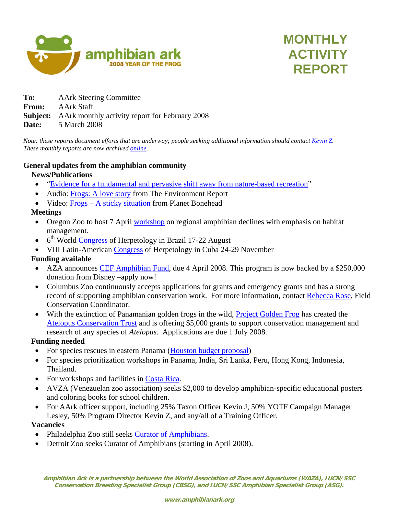



| To:   | <b>AArk Steering Committee</b>                                 |
|-------|----------------------------------------------------------------|
| From: | AArk Staff                                                     |
|       | <b>Subject:</b> AArk monthly activity report for February 2008 |
| Date: | 5 March 2008                                                   |

*Note: these reports document efforts that are underway; people seeking additional information should contact [Kevin Z](mailto:KevinZ@AmphibianArk.org). These monthly reports are now archived [online](http://amphibianark.org/monthlyreports.htm).* 

### **General updates from the amphibian community**

### **News/Publications**

- ["Evidence for a fundamental and pervasive shift away from nature-based recreation"](http://www.pnas.org/cgi/content/abstract/0709893105v1)
- Audio: [Frogs: A love story](http://www.environmentreport.org/story.php3?story_id=3884) from The Environment Report
- Video: [Frogs A sticky situation](http://planetbonehead.blip.tv/file/650946) from Planet Bonehead

### **Meetings**

- Oregon Zoo to host 7 April [workshop](http://www.amphibianark.org/Kevin/reports/email.doc) on regional amphibian declines with emphasis on habitat management.
- $\bullet$  6<sup>th</sup> World [Congress](http://www.worldcongressofherpetology.org/index.php?section=39) of Herpetology in Brazil 17-22 August
- VIII Latin-American [Congress](http://cdc.lamolina.edu.pe/Noticias/CongresoVIIIHerpetiogiaLatinoamerica.pdf) of Herpetology in Cuba 24-29 November

## **Funding available**

- AZA announces [CEF Amphibian Fund](http://www.aza.org/ConScience/CEF_AmphibFund), due 4 April 2008. This program is now backed by a \$250,000 donation from Disney –apply now!
- Columbus Zoo continuously accepts applications for grants and emergency grants and has a strong record of supporting amphibian conservation work. For more information, contact [Rebecca Rose,](mailto:Rebecca.Rose@columbuszoo.org) Field Conservation Coordinator.
- With the extinction of Panamanian golden frogs in the wild, **Project Golden Frog** has created the [Atelopus Conservation Trust](http://ranadorada.org/act.html) and is offering \$5,000 grants to support conservation management and research of any species of *Atelopus*. Applications are due 1 July 2008.

## **Funding needed**

- For species rescues in eastern Panama ([Houston budget proposal\)](http://www.amphibianark.org/Kevin/reports/Houston%20Panama%20project%20budget.pdf)
- For species prioritization workshops in Panama, India, Sri Lanka, Peru, Hong Kong, Indonesia, Thailand.
- For workshops and facilities in [Costa Rica.](http://www.amphibianark.org/Kevin/Costa%20Rica.pdf)
- AVZA (Venezuelan zoo association) seeks \$2,000 to develop amphibian-specific educational posters and coloring books for school children.
- For AArk officer support, including 25% Taxon Officer Kevin J, 50% YOTF Campaign Manager Lesley, 50% Program Director Kevin Z, and any/all of a Training Officer.

## **Vacancies**

- Philadelphia Zoo still seeks [Curator of Amphibians.](http://www.naherpetology.org/jobs.asp?id=194)
- Detroit Zoo seeks Curator of Amphibians (starting in April 2008).

**Amphibian Ark is a partnership between the World Association of Zoos and Aquariums (WAZA), IUCN/SSC Conservation Breeding Specialist Group (CBSG), and IUCN/SSC Amphibian Specialist Group (ASG).**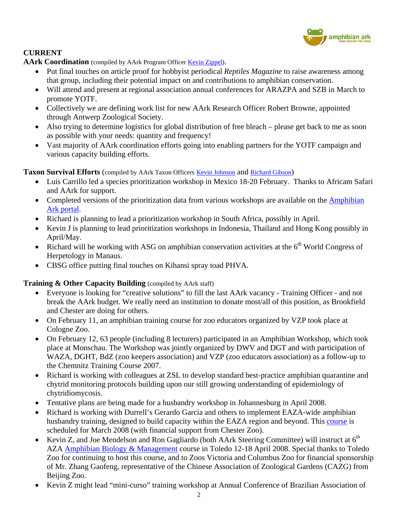

# **CURRENT**

AArk Coordination (compiled by AArk Program Officer [Kevin Zippel](mailto:KevinZ@AmphibianArk.org)).

- Put final touches on article proof for hobbyist periodical *Reptiles Magazine* to raise awareness among that group, including their potential impact on and contributions to amphibian conservation.
- Will attend and present at regional association annual conferences for ARAZPA and SZB in March to promote YOTF.
- Collectively we are defining work list for new AArk Research Officer Robert Browne, appointed through Antwerp Zoological Society.
- Also trying to determine logistics for global distribution of free bleach please get back to me as soon as possible with your needs: quantity and frequency!
- Vast majority of AArk coordination efforts going into enabling partners for the YOTF campaign and various capacity building efforts.

# Taxon Survival Efforts (compiled by AArk Taxon Officers [Kevin Johnson](mailto:KevinJ@AmphibianArk.org) and [Richard Gibson](mailto:Richard@AmphibianArk.org))

- Luis Carrillo led a species prioritization workshop in Mexico 18-20 February. Thanks to Africam Safari and AArk for support.
- Completed versions of the prioritization data from various workshops are available on the **Amphibian** [Ark portal.](http://zims.isis.org/aark/default.aspx)
- Richard is planning to lead a prioritization workshop in South Africa, possibly in April.
- Kevin J is planning to lead prioritization workshops in Indonesia, Thailand and Hong Kong possibly in April/May.
- Richard will be working with ASG on amphibian conservation activities at the  $6<sup>th</sup>$  World Congress of Herpetology in Manaus.
- CBSG office putting final touches on Kihansi spray toad PHVA.

# **Training & Other Capacity Building** (compiled by AArk staff)

- Everyone is looking for "creative solutions" to fill the last AArk vacancy Training Officer and not break the AArk budget. We really need an institution to donate most/all of this position, as Brookfield and Chester are doing for others.
- On February 11, an amphibian training course for zoo educators organized by VZP took place at Cologne Zoo.
- On February 12, 63 people (including 8 lecturers) participated in an Amphibian Workshop, which took place at Monschau. The Workshop was jointly organized by DWV and DGT and with participation of WAZA, DGHT, BdZ (zoo keepers association) and VZP (zoo educators association) as a follow-up to the Chemnitz Training Course 2007.
- Richard is working with colleagues at ZSL to develop standard best-practice amphibian quarantine and chytrid monitoring protocols building upon our still growing understanding of epidemiology of chytridiomycosis.
- Tentative plans are being made for a husbandry workshop in Johannesburg in April 2008.
- Richard is working with Durrell's Gerardo Garcia and others to implement EAZA-wide amphibian husbandry training, designed to build capacity within the EAZA region and beyond. This [course](http://www.amphibianark.org/Kevin/reports/Amphibian%20Conservation%20Husbandry_Flyer%20FINAL.pdf) is scheduled for March 2008 (with financial support from Chester Zoo).
- Kevin Z, and Joe Mendelson and Ron Gagliardo (both AArk Steering Committee) will instruct at  $6<sup>th</sup>$ AZA [Amphibian Biology & Management](http://www.aza.org/prodev/Amphibians/) course in Toledo 12-18 April 2008. Special thanks to Toledo Zoo for continuing to host this course, and to Zoos Victoria and Columbus Zoo for financial sponsorship of Mr. Zhang Gaofeng, representative of the Chinese Association of Zoological Gardens (CAZG) from Beijing Zoo.
- Kevin Z might lead "mini-curso" training workshop at Annual Conference of Brazilian Association of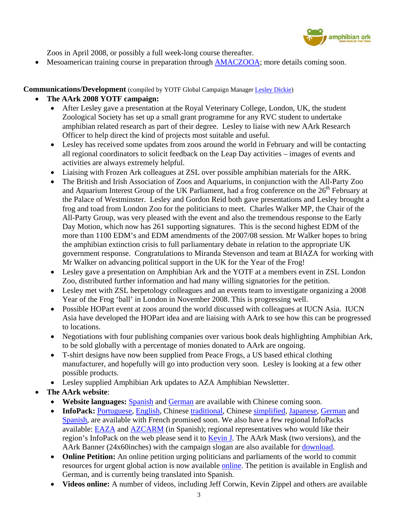

Zoos in April 2008, or possibly a full week-long course thereafter.

Mesoamerican training course in preparation through [AMACZOOA;](http://www.amaczooa.org/) more details coming soon.

**Communications/Development** (compiled by YOTF Global Campaign Manager [Lesley Dickie](mailto:Lesley@AmphibianArk.org))

# • **The AArk 2008 YOTF campaign:**

- After Lesley gave a presentation at the Royal Veterinary College, London, UK, the student Zoological Society has set up a small grant programme for any RVC student to undertake amphibian related research as part of their degree. Lesley to liaise with new AArk Research Officer to help direct the kind of projects most suitable and useful.
- Lesley has received some updates from zoos around the world in February and will be contacting all regional coordinators to solicit feedback on the Leap Day activities – images of events and activities are always extremely helpful.
- Liaising with Frozen Ark colleagues at ZSL over possible amphibian materials for the ARK.
- The British and Irish Association of Zoos and Aquariums, in conjunction with the All-Party Zoo and Aquarium Interest Group of the UK Parliament, had a frog conference on the  $26<sup>th</sup>$  February at the Palace of Westminster. Lesley and Gordon Reid both gave presentations and Lesley brought a frog and toad from London Zoo for the politicians to meet. Charles Walker MP, the Chair of the All-Party Group, was very pleased with the event and also the tremendous response to the Early Day Motion, which now has 261 supporting signatures. This is the second highest EDM of the more than 1100 EDM's and EDM amendments of the 2007/08 session. Mr Walker hopes to bring the amphibian extinction crisis to full parliamentary debate in relation to the appropriate UK government response. Congratulations to Miranda Stevenson and team at BIAZA for working with Mr Walker on advancing political support in the UK for the Year of the Frog!
- Lesley gave a presentation on Amphibian Ark and the YOTF at a members event in ZSL London Zoo, distributed further information and had many willing signatories for the petition.
- Lesley met with ZSL herpetology colleagues and an events team to investigate organizing a 2008 Year of the Frog 'ball' in London in November 2008. This is progressing well.
- Possible HOPart event at zoos around the world discussed with colleagues at IUCN Asia. IUCN Asia have developed the HOPart idea and are liaising with AArk to see how this can be progressed to locations.
- Negotiations with four publishing companies over various book deals highlighting Amphibian Ark, to be sold globally with a percentage of monies donated to AArk are ongoing.
- T-shirt designs have now been supplied from Peace Frogs, a US based ethical clothing manufacturer, and hopefully will go into production very soon. Lesley is looking at a few other possible products.
- Lesley supplied Amphibian Ark updates to AZA Amphibian Newsletter.
- **The AArk website**:
	- **Website languages:** [Spanish](http://www.amphibianark.org/Spanish/index.htm) and [German](http://www.amphibianark.org/German/index.htm) are available with Chinese coming soon.
	- InfoPack: [Portuguese](http://www.amphibianark.org/Global%20InfoPack%20CD%20Aark/Global_InfoPack_Portuguese.pdf), [English,](http://www.amphibianark.org/Global%20InfoPack%20CD%20Aark/GlobalInfoPack.pdf) Chinese [traditional,](http://www.amphibianark.org/Global%20InfoPack%20CD%20Aark/GlobalInfoPacktraditionalchinese.pdf) Chinese [simplified,](http://www.amphibianark.org/Global%20InfoPack%20CD%20Aark/GlobalInfoPacksimplifiedchinese.pdf) [Japanese,](http://www.amphibianark.org/Global%20InfoPack%20CD%20Aark/GlobalInfoPackJapanese.pdf) [German](http://www.amphibianark.org/Global%20InfoPack%20CD%20Aark/EAZA-Infopaket%20Deutsch.pdf) and [Spanish,](http://www.amphibianark.org/Global%20InfoPack%20CD%20Aark/YOTFGlobalInfoPackinSpanish%5b1%5d.pdf) are available with French promised soon. We also have a few regional InfoPacks available: **EAZA** and **[AZCARM](http://www.amphibianark.org/Global%20InfoPack%20CD%20Aark/AZCARMpaqueteinformativo.pdf)** (in Spanish); regional representatives who would like their region's InfoPack on the web please send it to [Kevin J](mailto:KevinJ@AmphibianArk.org). The AArk Mask (two versions), and the AArk Banner (24x60inches) with the campaign slogan are also available for [download](http://www.amphibianark.org/YOTFinfopack.htm).
	- **Online Petition:** An online petition urging politicians and parliaments of the world to commit resources for urgent global action is now available [online](http://www.amphibianark.org/online-petition.php). The petition is available in English and German, and is currently being translated into Spanish.
	- **Videos online:** A number of videos, including Jeff Corwin, Kevin Zippel and others are available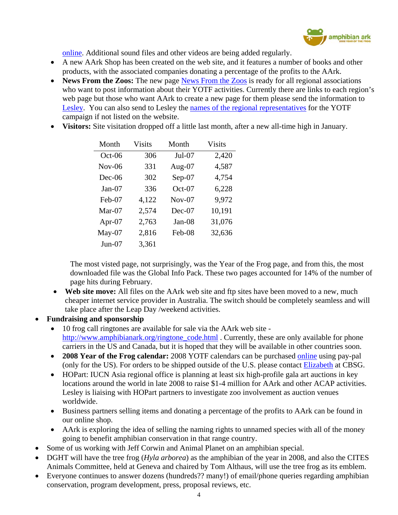

online. Additional sound files and other videos are being added regularly.

- A new AArk Shop has been created on the web site, and it features a number of books and other products, with the associated companies donating a percentage of the profits to the AArk.
- **News From the Zoos:** The new page [News From the Zoos](http://www.amphibianark.org/YOTFnews.htm) is ready for all regional associations who want to post information about their YOTF activities. Currently there are links to each region's web page but those who want AArk to create a new page for them please send the information to [Lesley.](mailto:Lesley@AmphibianArk.org) You can also send to Lesley the [names of the regional representatives](http://www.amphibianark/YOTFicontacts.htm) for the YOTF campaign if not listed on the website.
- **Visitors:** Site visitation dropped off a little last month, after a new all-time high in January.

| Month     | <b>Visits</b> | Month     | <b>Visits</b> |
|-----------|---------------|-----------|---------------|
| $Oct-06$  | 306           | $Jul-07$  | 2,420         |
| $Nov-06$  | 331           | Aug- $07$ | 4,587         |
| $Dec-06$  | 302           | $Sep-07$  | 4,754         |
| $Jan-07$  | 336           | $Oct-07$  | 6,228         |
| Feb-07    | 4,122         | $Nov-07$  | 9,972         |
| $Mar-07$  | 2,574         | $Dec-07$  | 10,191        |
| Apr- $07$ | 2,763         | Jan-08    | 31,076        |
| $May-07$  | 2,816         | Feb-08    | 32,636        |
| $Jun-07$  | 3,361         |           |               |

The most visted page, not surprisingly, was the Year of the Frog page, and from this, the most downloaded file was the Global Info Pack. These two pages accounted for 14% of the number of page hits during February.

- Web site move: All files on the AArk web site and ftp sites have been moved to a new, much cheaper internet service provider in Australia. The switch should be completely seamless and will take place after the Leap Day /weekend activities.
- **Fundraising and sponsorship** 
	- 10 frog call ringtones are available for sale via the AArk web site [http://www.amphibianark.org/ringtone\\_code.html](http://www.amphibianark.org/ringtone_code.html) . Currently, these are only available for phone carriers in the US and Canada, but it is hoped that they will be available in other countries soon.
	- **2008 Year of the Frog calendar:** 2008 YOTF calendars can be purchased [online](http://www.amphibianark.org/yearofthefrog.htm) using pay-pal (only for the US). For orders to be shipped outside of the U.S. please contact [Elizabeth](mailto:elizabeth@cbsg.org) at CBSG.
	- HOPart: IUCN Asia regional office is planning at least six high-profile gala art auctions in key locations around the world in late 2008 to raise \$1-4 million for AArk and other ACAP activities. Lesley is liaising with HOPart partners to investigate zoo involvement as auction venues worldwide.
	- Business partners selling items and donating a percentage of the profits to AArk can be found in our online shop.
	- AArk is exploring the idea of selling the naming rights to unnamed species with all of the money going to benefit amphibian conservation in that range country.
- Some of us working with Jeff Corwin and Animal Planet on an amphibian special.
- DGHT will have the tree frog (*Hyla arborea*) as the amphibian of the year in 2008, and also the CITES Animals Committee, held at Geneva and chaired by Tom Althaus, will use the tree frog as its emblem.
- Everyone continues to answer dozens (hundreds?? many!) of email/phone queries regarding amphibian conservation, program development, press, proposal reviews, etc.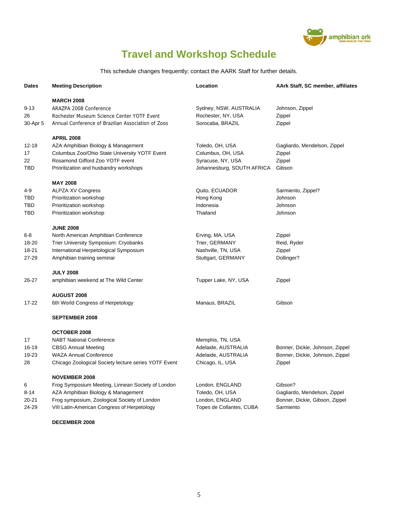

# **Travel and Workshop Schedule**

This schedule changes frequently; contact the AARK Staff for further details.

| <b>Dates</b>               | <b>Meeting Description</b>                                                                                                                                                    | Location                                                                           | AArk Staff, SC member, affiliates                                            |
|----------------------------|-------------------------------------------------------------------------------------------------------------------------------------------------------------------------------|------------------------------------------------------------------------------------|------------------------------------------------------------------------------|
| $9 - 13$<br>26<br>30-Apr 5 | <b>MARCH 2008</b><br>ARAZPA 2008 Conference<br>Rochester Museum Science Center YOTF Event<br>Annual Conference of Brazilian Association of Zoos                               | Sydney, NSW, AUSTRALIA<br>Rochester, NY, USA<br>Sorocaba, BRAZIL                   | Johnson, Zippel<br>Zippel<br>Zippel                                          |
| $12 - 18$                  | <b>APRIL 2008</b><br>AZA Amphibian Biology & Management                                                                                                                       | Toledo, OH, USA                                                                    | Gagliardo, Mendelson, Zippel                                                 |
| 17<br>22                   | Columbus Zoo/Ohio State University YOTF Event<br>Rosamond Gifford Zoo YOTF event                                                                                              | Columbus, OH, USA<br>Syracuse, NY, USA<br>Johannesburg, SOUTH AFRICA               | Zippel<br>Zippel                                                             |
| TBD                        | Prioritization and husbandry workshops                                                                                                                                        |                                                                                    | Gibson                                                                       |
| 4-9<br>TBD<br>TBD<br>TBD   | <b>MAY 2008</b><br><b>ALPZA XV Congress</b><br>Prioritization workshop<br>Prioritization workshop<br>Prioritization workshop                                                  | Quito, ECUADOR<br>Hong Kong<br>Indonesia<br>Thailand                               | Sarmiento, Zippel?<br>Johnson<br>Johnson<br>Johnson                          |
|                            | <b>JUNE 2008</b>                                                                                                                                                              |                                                                                    |                                                                              |
| $6 - 8$                    | North American Amphibian Conference                                                                                                                                           | Erving, MA, USA                                                                    | Zippel                                                                       |
| 18-20<br>18-21             | Trier University Symposium: Cryobanks<br>International Herpetological Symposium                                                                                               | Trier, GERMANY<br>Nashville, TN, USA                                               | Reid, Ryder<br>Zippel                                                        |
| 27-29                      | Amphibian training seminar                                                                                                                                                    | Stuttgart, GERMANY                                                                 | Dollinger?                                                                   |
|                            | <b>JULY 2008</b>                                                                                                                                                              |                                                                                    |                                                                              |
| 26-27                      | amphibian weekend at The Wild Center                                                                                                                                          | Tupper Lake, NY, USA                                                               | Zippel                                                                       |
|                            | <b>AUGUST 2008</b>                                                                                                                                                            |                                                                                    |                                                                              |
| 17-22                      | 6th World Congress of Herpetology                                                                                                                                             | Manaus, BRAZIL                                                                     | Gibson                                                                       |
|                            | <b>SEPTEMBER 2008</b>                                                                                                                                                         |                                                                                    |                                                                              |
| 17<br>16-19<br>19-23<br>28 | <b>OCTOBER 2008</b><br><b>NABT National Conference</b><br><b>CBSG Annual Meeting</b><br><b>WAZA Annual Conference</b><br>Chicago Zoological Society lecture series YOTF Event | Memphis, TN, USA<br>Adelaide, AUSTRALIA<br>Adelaide, AUSTRALIA<br>Chicago, IL, USA | Bonner, Dickie, Johnson, Zippel<br>Bonner, Dickie, Johnson, Zippel<br>Zippel |
|                            | <b>NOVEMBER 2008</b>                                                                                                                                                          |                                                                                    |                                                                              |
| 6                          | Frog Symposium Meeting, Linnean Society of London                                                                                                                             | London, ENGLAND                                                                    | Gibson?                                                                      |
| $8 - 14$<br>$20 - 21$      | AZA Amphibian Biology & Management<br>Frog symposium, Zoological Society of London                                                                                            | Toledo, OH, USA<br>London, ENGLAND                                                 | Gagliardo, Mendelson, Zippel<br>Bonner, Dickie, Gibson, Zippel               |
| 24-29                      | VIII Latin-American Congress of Herpetology                                                                                                                                   | Topes de Collantes, CUBA                                                           | Sarmiento                                                                    |
|                            | DECEMBER 2008                                                                                                                                                                 |                                                                                    |                                                                              |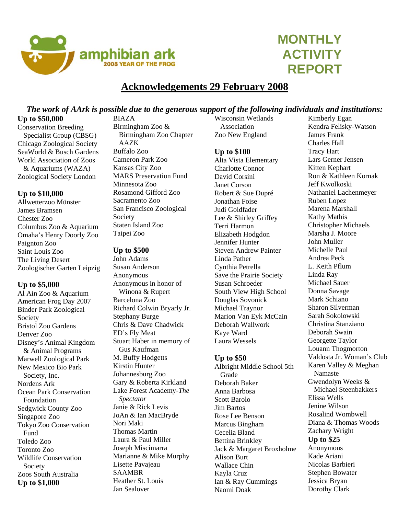

# **MONTHLY ACTIVITY REPORT**

# **Acknowledgements 29 February 2008**

# *The work of AArk is possible due to the generous support of the following individuals and institutions:*

### **Up to \$50,000**

Conservation Breeding Specialist Group (CBSG) Chicago Zoological Society SeaWorld & Busch Gardens World Association of Zoos & Aquariums (WAZA) Zoological Society London

### **Up to \$10,000**

Allwetterzoo Münster James Bramsen Chester Zoo Columbus Zoo & Aquarium Omaha's Henry Doorly Zoo Paignton Zoo Saint Louis Zoo The Living Desert Zoologischer Garten Leipzig

### **Up to \$5,000**

Al Ain Zoo & Aquarium American Frog Day 2007 Binder Park Zoological Society Bristol Zoo Gardens Denver Zoo Disney's Animal Kingdom & Animal Programs Marwell Zoological Park New Mexico Bio Park Society, Inc. Nordens Ark Ocean Park Conservation Foundation Sedgwick County Zoo Singapore Zoo Tokyo Zoo Conservation Fund Toledo Zoo Toronto Zoo Wildlife Conservation Society Zoos South Australia **Up to \$1,000** 

BIAZA Birmingham Zoo & Birmingham Zoo Chapter AAZK Buffalo Zoo Cameron Park Zoo Kansas City Zoo MARS Preservation Fund Minnesota Zoo Rosamond Gifford Zoo Sacramento Zoo San Francisco Zoological Society Staten Island Zoo Taipei Zoo

### **Up to \$500**

John Adams Susan Anderson Anonymous Anonymous in honor of Winona & Rupert Barcelona Zoo Richard Colwin Bryarly Jr. Stephany Burge Chris & Dave Chadwick ED's Fly Meat Stuart Haber in memory of Gus Kaufman M. Buffy Hodgetts Kirstin Hunter Johannesburg Zoo Gary & Roberta Kirkland Lake Forest Academy-*The Spectator*  Janie & Rick Levis JoAn & Ian MacBryde Nori Maki Thomas Martin Laura & Paul Miller Joseph Miscimarra Marianne & Mike Murphy Lisette Pavajeau SAAMBR Heather St. Louis Jan Sealover

Wisconsin Wetlands Association Zoo New England

### **Up to \$100**

Alta Vista Elementary Charlotte Connor David Corsini Janet Corson Robert & Sue Dupré Jonathan Foise Judi Goldfader Lee & Shirley Griffey Terri Harmon Elizabeth Hodgdon Jennifer Hunter Steven Andrew Painter Linda Pather Cynthia Petrella Save the Prairie Society Susan Schroeder South View High School Douglas Sovonick Michael Traynor Marion Van Eyk McCain Deborah Wallwork Kaye Ward Laura Wessels

### **Up to \$50**

Albright Middle School 5th Grade Deborah Baker Anna Barbosa Scott Barolo Jim Bartos Rose Lee Benson Marcus Bingham Cecelia Bland Bettina Brinkley Jack & Margaret Broxholme Alison Burt Wallace Chin Kayla Cruz Ian & Ray Cummings Naomi Doak

Kimberly Egan Kendra Felisky-Watson James Frank Charles Hall Tracy Hart Lars Gerner Jensen Kitten Kephart Ron & Kathleen Kornak Jeff Kwolkoski Nathaniel Lachenmeyer Ruben Lopez Marena Marshall Kathy Mathis Christopher Michaels Marsha J. Moore John Muller Michelle Paul Andrea Peck L. Keith Pflum Linda Ray Michael Sauer Donna Savage Mark Schiano Sharon Silverman Sarah Sokolowski Christina Stanziano Deborah Swain Georgette Taylor Louann Thogmorton Valdosta Jr. Woman's Club Karen Valley & Meghan Namaste Gwendolyn Weeks & Michael Steenbakkers Elissa Wells Jenine Wilson Rosalind Wombwell Diana & Thomas Woods Zachary Wright **Up to \$25** Anonymous Kade Ariani

Nicolas Barbieri Stephen Bowater Jessica Bryan Dorothy Clark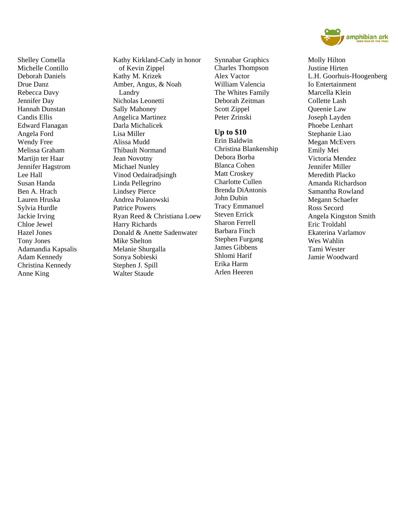

Shelley Comella Michelle Contillo Deborah Daniels Drue Danz Rebecca Davy Jennifer Day Hannah Dunstan Candis Ellis Edward Flanagan Angela Ford Wendy Free Melissa Graham Martiin ter Haar Jennifer Hagstrom Lee Hall Susan Handa Ben A. Hrach Lauren Hruska Sylvia Hurdle Jackie Irving Chloe Jewel Hazel Jones Tony Jones Adamandia Kapsalis Adam Kennedy Christina Kennedy Anne King

Kathy Kirkland-Cady in honor of Kevin Zippel Kathy M. Krizek Amber, Angus, & Noah Landry Nicholas Leonetti Sally Mahoney Angelica Martinez Darla Michalicek Lisa Miller Alissa Mudd Thibault Normand Jean Novotny Michael Nunley Vinod Oedairadjsingh Linda Pellegrino Lindsey Pierce Andrea Polanowski Patrice Powers Ryan Reed & Christiana Loew Harry Richards Donald & Anette Sadenwater Mike Shelton Melanie Shurgalla Sonya Sobieski Stephen J. Spill Walter Staude

Synnabar Graphics Charles Thompson Alex Vactor William Valencia The Whites Family Deborah Zeitman Scott Zippel Peter Zrinski

#### **Up to \$10**

Erin Baldwin Christina Blankenship Debora Borba Blanca Cohen Matt Croskey Charlotte Cullen Brenda DiAntonis John Dubin Tracy Emmanuel Steven Errick Sharon Ferrell Barbara Finch Stephen Furgang James Gibbens Shlomi Harif Erika Harm Arlen Heeren

Molly Hilton Justine Hirten L.H. Goorhuis-Hoogenberg Io Entertainment Marcella Klein Collette Lash Queenie Law Joseph Layden Phoebe Lenhart Stephanie Liao Megan McEvers Emily Mei Victoria Mendez Jennifer Miller Meredith Placko Amanda Richardson Samantha Rowland Megann Schaefer Ross Secord Angela Kingston Smith Eric Troldahl Ekaterina Varlamov Wes Wahlin Tami Wester Jamie Woodward